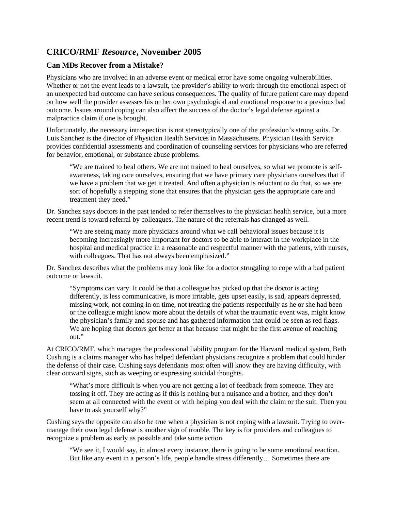## **CRICO/RMF** *Resource***, November 2005**

## **Can MDs Recover from a Mistake?**

Physicians who are involved in an adverse event or medical error have some ongoing vulnerabilities. Whether or not the event leads to a lawsuit, the provider's ability to work through the emotional aspect of an unexpected bad outcome can have serious consequences. The quality of future patient care may depend on how well the provider assesses his or her own psychological and emotional response to a previous bad outcome. Issues around coping can also affect the success of the doctor's legal defense against a malpractice claim if one is brought.

Unfortunately, the necessary introspection is not stereotypically one of the profession's strong suits. Dr. Luis Sanchez is the director of Physician Health Services in Massachusetts. Physician Health Service provides confidential assessments and coordination of counseling services for physicians who are referred for behavior, emotional, or substance abuse problems.

"We are trained to heal others. We are not trained to heal ourselves, so what we promote is selfawareness, taking care ourselves, ensuring that we have primary care physicians ourselves that if we have a problem that we get it treated. And often a physician is reluctant to do that, so we are sort of hopefully a stepping stone that ensures that the physician gets the appropriate care and treatment they need."

Dr. Sanchez says doctors in the past tended to refer themselves to the physician health service, but a more recent trend is toward referral by colleagues. The nature of the referrals has changed as well.

"We are seeing many more physicians around what we call behavioral issues because it is becoming increasingly more important for doctors to be able to interact in the workplace in the hospital and medical practice in a reasonable and respectful manner with the patients, with nurses, with colleagues. That has not always been emphasized."

Dr. Sanchez describes what the problems may look like for a doctor struggling to cope with a bad patient outcome or lawsuit.

"Symptoms can vary. It could be that a colleague has picked up that the doctor is acting differently, is less communicative, is more irritable, gets upset easily, is sad, appears depressed, missing work, not coming in on time, not treating the patients respectfully as he or she had been or the colleague might know more about the details of what the traumatic event was, might know the physician's family and spouse and has gathered information that could be seen as red flags. We are hoping that doctors get better at that because that might be the first avenue of reaching out."

At CRICO/RMF, which manages the professional liability program for the Harvard medical system, Beth Cushing is a claims manager who has helped defendant physicians recognize a problem that could hinder the defense of their case. Cushing says defendants most often will know they are having difficulty, with clear outward signs, such as weeping or expressing suicidal thoughts.

"What's more difficult is when you are not getting a lot of feedback from someone. They are tossing it off. They are acting as if this is nothing but a nuisance and a bother, and they don't seem at all connected with the event or with helping you deal with the claim or the suit. Then you have to ask yourself why?"

Cushing says the opposite can also be true when a physician is not coping with a lawsuit. Trying to overmanage their own legal defense is another sign of trouble. The key is for providers and colleagues to recognize a problem as early as possible and take some action.

"We see it, I would say, in almost every instance, there is going to be some emotional reaction. But like any event in a person's life, people handle stress differently… Sometimes there are